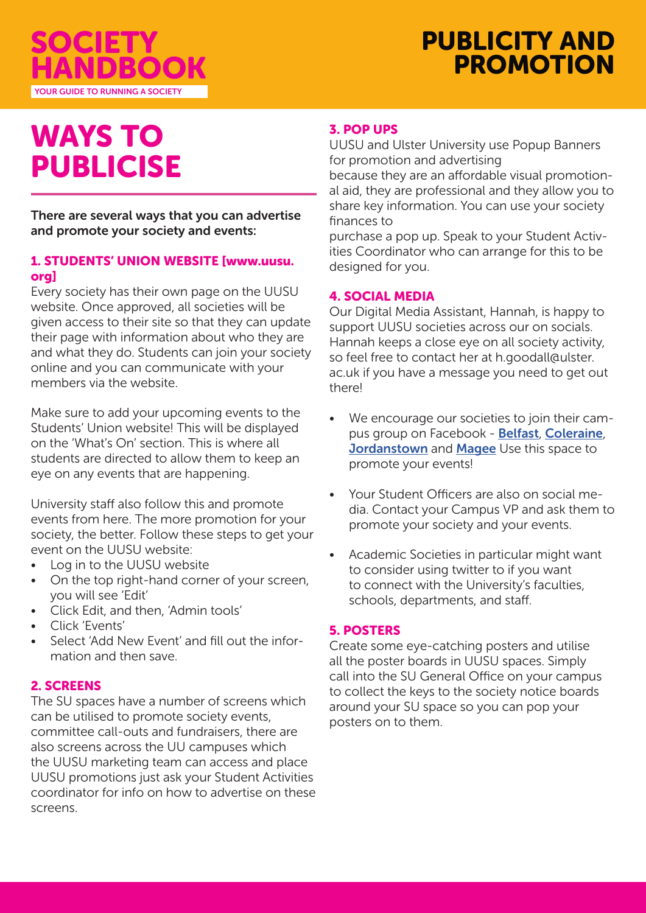

# PUBLICITY AND PROMOTION

# WAYS TO PUBLICISE

There are several ways that you can advertise and promote your society and events:

#### 1. STUDENTS' UNION WEBSITE [www.uusu. org]

Every society has their own page on the UUSU website. Once approved, all societies will be given access to their site so that they can update their page with information about who they are and what they do. Students can join your society online and you can communicate with your members via the website.

Make sure to add your upcoming events to the Students' Union website! This will be displayed on the 'What's On' section. This is where all students are directed to allow them to keep an eye on any events that are happening.

University staff also follow this and promote events from here. The more promotion for your society, the better. Follow these steps to get your event on the UUSU website:

- Log in to the UUSU website
- On the top right-hand corner of your screen, you will see 'Edit'
- Click Edit, and then, 'Admin tools'
- Click 'Events'
- Select 'Add New Event' and fill out the information and then save.

## 2. SCREENS

The SU spaces have a number of screens which can be utilised to promote society events, committee call-outs and fundraisers, there are also screens across the UU campuses which the UUSU marketing team can access and place UUSU promotions just ask your Student Activities coordinator for info on how to advertise on these screens.

### 3. POP UPS

UUSU and Ulster University use Popup Banners for promotion and advertising

because they are an affordable visual promotional aid, they are professional and they allow you to share key information. You can use your society finances to

purchase a pop up. Speak to your Student Activities Coordinator who can arrange for this to be designed for you.

#### 4. SOCIAL MEDIA

Our Digital Media Assistant, Hannah, is happy to support UUSU societies across our on socials. Hannah keeps a close eye on all society activity, so feel free to contact her at h.goodall@ulster. ac.uk if you have a message you need to get out there!

- We encourage our societies to join their campus group on Facebook - Belfast, Coleraine, Jordanstown and Magee Use this space to promote your events!
- Your Student Officers are also on social media. Contact your Campus VP and ask them to promote your society and your events.
- Academic Societies in particular might want to consider using twitter to if you want to connect with the University's faculties, schools, departments, and staff.

#### 5. POSTERS

Create some eye-catching posters and utilise all the poster boards in UUSU spaces. Simply call into the SU General Office on your campus to collect the keys to the society notice boards around your SU space so you can pop your posters on to them.